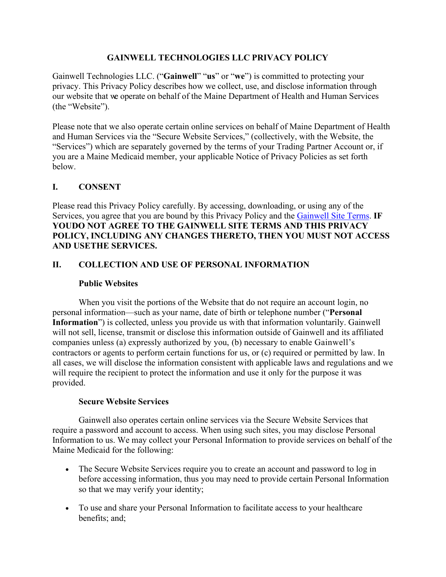## **GAINWELL TECHNOLOGIES LLC PRIVACY POLICY**

Gainwell Technologies LLC. ("**Gainwell**" "**us**" or "**we**") is committed to protecting your privacy. This Privacy Policy describes how we collect, use, and disclose information through our website that we operate on behalf of the Maine Department of Health and Human Services (the "Website").

Please note that we also operate certain online services on behalf of Maine Department of Health and Human Services via the "Secure Website Services," (collectively, with the Website, the "Services") which are separately governed by the terms of your Trading Partner Account or, if you are a Maine Medicaid member, your applicable Notice of Privacy Policies as set forth below.

## **I. CONSENT**

Please read this Privacy Policy carefully. By accessing, downloading, or using any of the Services, you agree that you are bound by this Privacy Policy and the Gainwell Site Terms. **IF YOUDO NOT AGREE TO THE GAINWELL SITE TERMS AND THIS PRIVACY POLICY, INCLUDING ANY CHANGES THERETO, THEN YOU MUST NOT ACCESS AND USETHE SERVICES.**

## **II. COLLECTION AND USE OF PERSONAL INFORMATION**

#### **Public Websites**

When you visit the portions of the Website that do not require an account login, no personal information—such as your name, date of birth or telephone number ("**Personal Information**") is collected, unless you provide us with that information voluntarily. Gainwell will not sell, license, transmit or disclose this information outside of Gainwell and its affiliated companies unless (a) expressly authorized by you, (b) necessary to enable Gainwell's contractors or agents to perform certain functions for us, or (c) required or permitted by law. In all cases, we will disclose the information consistent with applicable laws and regulations and we will require the recipient to protect the information and use it only for the purpose it was provided.

#### **Secure Website Services**

Gainwell also operates certain online services via the Secure Website Services that require a password and account to access. When using such sites, you may disclose Personal Information to us. We may collect your Personal Information to provide services on behalf of the Maine Medicaid for the following:

- The Secure Website Services require you to create an account and password to log in before accessing information, thus you may need to provide certain Personal Information so that we may verify your identity;
- To use and share your Personal Information to facilitate access to your healthcare benefits; and;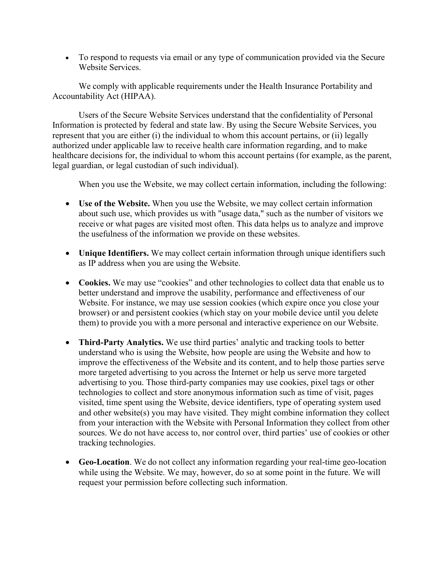• To respond to requests via email or any type of communication provided via the Secure Website Services.

We comply with applicable requirements under the Health Insurance Portability and Accountability Act (HIPAA).

Users of the Secure Website Services understand that the confidentiality of Personal Information is protected by federal and state law. By using the Secure Website Services, you represent that you are either (i) the individual to whom this account pertains, or (ii) legally authorized under applicable law to receive health care information regarding, and to make healthcare decisions for, the individual to whom this account pertains (for example, as the parent, legal guardian, or legal custodian of such individual).

When you use the Website, we may collect certain information, including the following:

- **Use of the Website.** When you use the Website, we may collect certain information about such use, which provides us with "usage data," such as the number of visitors we receive or what pages are visited most often. This data helps us to analyze and improve the usefulness of the information we provide on these websites.
- **Unique Identifiers.** We may collect certain information through unique identifiers such as IP address when you are using the Website.
- **Cookies.** We may use "cookies" and other technologies to collect data that enable us to better understand and improve the usability, performance and effectiveness of our Website. For instance, we may use session cookies (which expire once you close your browser) or and persistent cookies (which stay on your mobile device until you delete them) to provide you with a more personal and interactive experience on our Website.
- **Third-Party Analytics.** We use third parties' analytic and tracking tools to better understand who is using the Website, how people are using the Website and how to improve the effectiveness of the Website and its content, and to help those parties serve more targeted advertising to you across the Internet or help us serve more targeted advertising to you. Those third-party companies may use cookies, pixel tags or other technologies to collect and store anonymous information such as time of visit, pages visited, time spent using the Website, device identifiers, type of operating system used and other website(s) you may have visited. They might combine information they collect from your interaction with the Website with Personal Information they collect from other sources. We do not have access to, nor control over, third parties' use of cookies or other tracking technologies.
- **Geo-Location**. We do not collect any information regarding your real-time geo-location while using the Website. We may, however, do so at some point in the future. We will request your permission before collecting such information.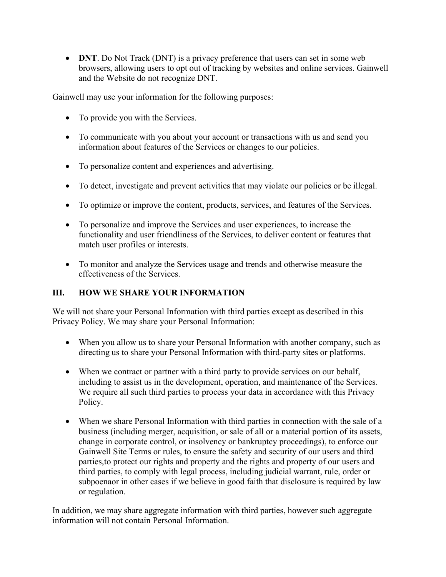• **DNT**. Do Not Track (DNT) is a privacy preference that users can set in some web browsers, allowing users to opt out of tracking by websites and online services. Gainwell and the Website do not recognize DNT.

Gainwell may use your information for the following purposes:

- To provide you with the Services.
- To communicate with you about your account or transactions with us and send you information about features of the Services or changes to our policies.
- To personalize content and experiences and advertising.
- To detect, investigate and prevent activities that may violate our policies or be illegal.
- To optimize or improve the content, products, services, and features of the Services.
- To personalize and improve the Services and user experiences, to increase the functionality and user friendliness of the Services, to deliver content or features that match user profiles or interests.
- To monitor and analyze the Services usage and trends and otherwise measure the effectiveness of the Services.

# **III. HOW WE SHARE YOUR INFORMATION**

We will not share your Personal Information with third parties except as described in this Privacy Policy. We may share your Personal Information:

- When you allow us to share your Personal Information with another company, such as directing us to share your Personal Information with third-party sites or platforms.
- When we contract or partner with a third party to provide services on our behalf, including to assist us in the development, operation, and maintenance of the Services. We require all such third parties to process your data in accordance with this Privacy Policy.
- When we share Personal Information with third parties in connection with the sale of a business (including merger, acquisition, or sale of all or a material portion of its assets, change in corporate control, or insolvency or bankruptcy proceedings), to enforce our Gainwell Site Terms or rules, to ensure the safety and security of our users and third parties,to protect our rights and property and the rights and property of our users and third parties, to comply with legal process, including judicial warrant, rule, order or subpoenaor in other cases if we believe in good faith that disclosure is required by law or regulation.

In addition, we may share aggregate information with third parties, however such aggregate information will not contain Personal Information.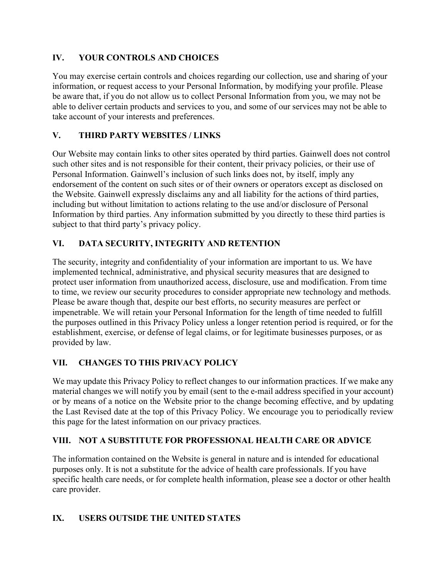# **IV. YOUR CONTROLS AND CHOICES**

You may exercise certain controls and choices regarding our collection, use and sharing of your information, or request access to your Personal Information, by modifying your profile. Please be aware that, if you do not allow us to collect Personal Information from you, we may not be able to deliver certain products and services to you, and some of our services may not be able to take account of your interests and preferences.

## **V. THIRD PARTY WEBSITES / LINKS**

Our Website may contain links to other sites operated by third parties. Gainwell does not control such other sites and is not responsible for their content, their privacy policies, or their use of Personal Information. Gainwell's inclusion of such links does not, by itself, imply any endorsement of the content on such sites or of their owners or operators except as disclosed on the Website. Gainwell expressly disclaims any and all liability for the actions of third parties, including but without limitation to actions relating to the use and/or disclosure of Personal Information by third parties. Any information submitted by you directly to these third parties is subject to that third party's privacy policy.

## **VI. DATA SECURITY, INTEGRITY AND RETENTION**

The security, integrity and confidentiality of your information are important to us. We have implemented technical, administrative, and physical security measures that are designed to protect user information from unauthorized access, disclosure, use and modification. From time to time, we review our security procedures to consider appropriate new technology and methods. Please be aware though that, despite our best efforts, no security measures are perfect or impenetrable. We will retain your Personal Information for the length of time needed to fulfill the purposes outlined in this Privacy Policy unless a longer retention period is required, or for the establishment, exercise, or defense of legal claims, or for legitimate businesses purposes, or as provided by law.

# **VII. CHANGES TO THIS PRIVACY POLICY**

We may update this Privacy Policy to reflect changes to our information practices. If we make any material changes we will notify you by email (sent to the e-mail address specified in your account) or by means of a notice on the Website prior to the change becoming effective, and by updating the Last Revised date at the top of this Privacy Policy. We encourage you to periodically review this page for the latest information on our privacy practices.

## **VIII. NOT A SUBSTITUTE FOR PROFESSIONAL HEALTH CARE OR ADVICE**

The information contained on the Website is general in nature and is intended for educational purposes only. It is not a substitute for the advice of health care professionals. If you have specific health care needs, or for complete health information, please see a doctor or other health care provider.

## **IX. USERS OUTSIDE THE UNITED STATES**